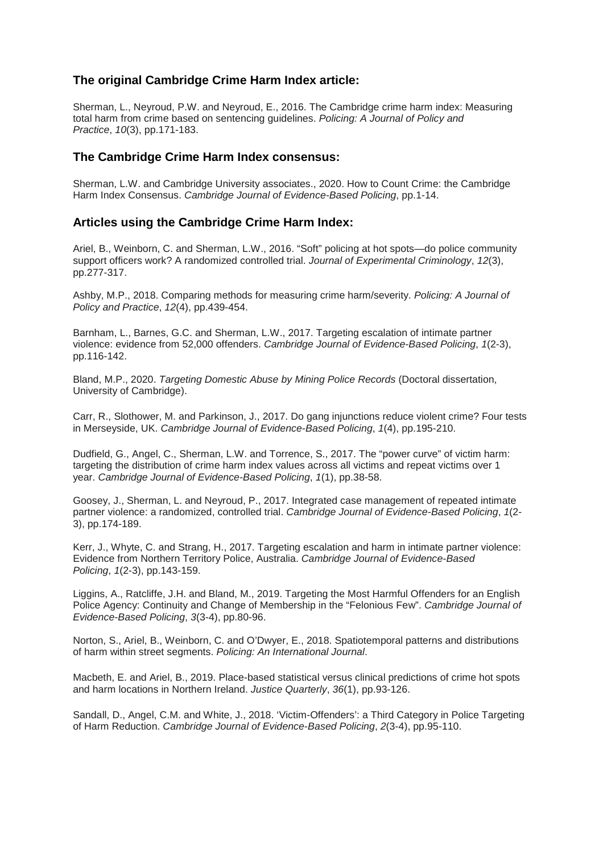## **The original Cambridge Crime Harm Index article:**

Sherman, L., Neyroud, P.W. and Neyroud, E., 2016. The Cambridge crime harm index: Measuring total harm from crime based on sentencing guidelines. *Policing: A Journal of Policy and Practice*, *10*(3), pp.171-183.

## **The Cambridge Crime Harm Index consensus:**

Sherman, L.W. and Cambridge University associates., 2020. How to Count Crime: the Cambridge Harm Index Consensus. *Cambridge Journal of Evidence-Based Policing*, pp.1-14.

## **Articles using the Cambridge Crime Harm Index:**

Ariel, B., Weinborn, C. and Sherman, L.W., 2016. "Soft" policing at hot spots—do police community support officers work? A randomized controlled trial. *Journal of Experimental Criminology*, *12*(3), pp.277-317.

Ashby, M.P., 2018. Comparing methods for measuring crime harm/severity. *Policing: A Journal of Policy and Practice*, *12*(4), pp.439-454.

Barnham, L., Barnes, G.C. and Sherman, L.W., 2017. Targeting escalation of intimate partner violence: evidence from 52,000 offenders. *Cambridge Journal of Evidence-Based Policing*, *1*(2-3), pp.116-142.

Bland, M.P., 2020. *Targeting Domestic Abuse by Mining Police Records* (Doctoral dissertation, University of Cambridge).

Carr, R., Slothower, M. and Parkinson, J., 2017. Do gang injunctions reduce violent crime? Four tests in Merseyside, UK. *Cambridge Journal of Evidence-Based Policing*, *1*(4), pp.195-210.

Dudfield, G., Angel, C., Sherman, L.W. and Torrence, S., 2017. The "power curve" of victim harm: targeting the distribution of crime harm index values across all victims and repeat victims over 1 year. *Cambridge Journal of Evidence-Based Policing*, *1*(1), pp.38-58.

Goosey, J., Sherman, L. and Neyroud, P., 2017. Integrated case management of repeated intimate partner violence: a randomized, controlled trial. *Cambridge Journal of Evidence-Based Policing*, *1*(2- 3), pp.174-189.

Kerr, J., Whyte, C. and Strang, H., 2017. Targeting escalation and harm in intimate partner violence: Evidence from Northern Territory Police, Australia. *Cambridge Journal of Evidence-Based Policing*, *1*(2-3), pp.143-159.

Liggins, A., Ratcliffe, J.H. and Bland, M., 2019. Targeting the Most Harmful Offenders for an English Police Agency: Continuity and Change of Membership in the "Felonious Few". *Cambridge Journal of Evidence-Based Policing*, *3*(3-4), pp.80-96.

Norton, S., Ariel, B., Weinborn, C. and O'Dwyer, E., 2018. Spatiotemporal patterns and distributions of harm within street segments. *Policing: An International Journal*.

Macbeth, E. and Ariel, B., 2019. Place-based statistical versus clinical predictions of crime hot spots and harm locations in Northern Ireland. *Justice Quarterly*, *36*(1), pp.93-126.

Sandall, D., Angel, C.M. and White, J., 2018. 'Victim-Offenders': a Third Category in Police Targeting of Harm Reduction. *Cambridge Journal of Evidence-Based Policing*, *2*(3-4), pp.95-110.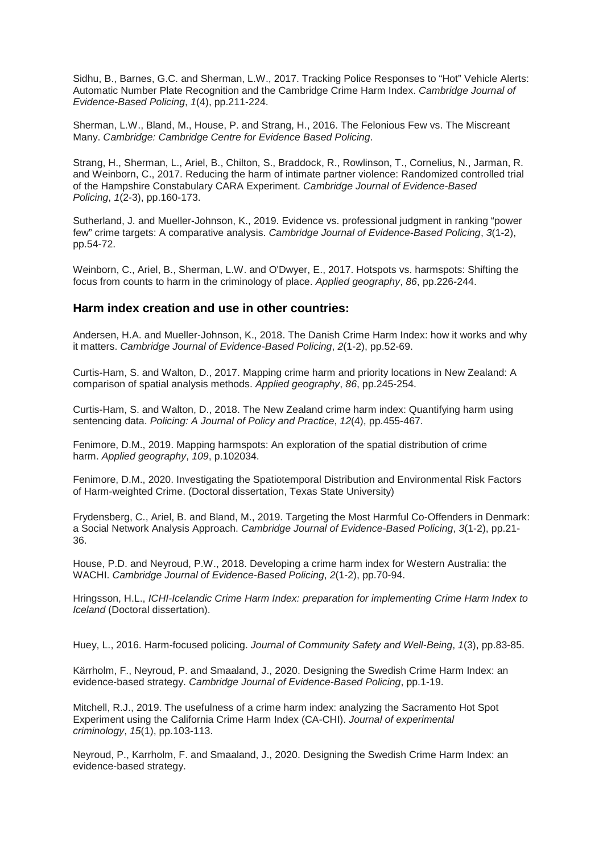Sidhu, B., Barnes, G.C. and Sherman, L.W., 2017. Tracking Police Responses to "Hot" Vehicle Alerts: Automatic Number Plate Recognition and the Cambridge Crime Harm Index. *Cambridge Journal of Evidence-Based Policing*, *1*(4), pp.211-224.

Sherman, L.W., Bland, M., House, P. and Strang, H., 2016. The Felonious Few vs. The Miscreant Many. *Cambridge: Cambridge Centre for Evidence Based Policing*.

Strang, H., Sherman, L., Ariel, B., Chilton, S., Braddock, R., Rowlinson, T., Cornelius, N., Jarman, R. and Weinborn, C., 2017. Reducing the harm of intimate partner violence: Randomized controlled trial of the Hampshire Constabulary CARA Experiment. *Cambridge Journal of Evidence-Based Policing*, *1*(2-3), pp.160-173.

Sutherland, J. and Mueller-Johnson, K., 2019. Evidence vs. professional judgment in ranking "power few" crime targets: A comparative analysis. *Cambridge Journal of Evidence-Based Policing*, *3*(1-2), pp.54-72.

Weinborn, C., Ariel, B., Sherman, L.W. and O'Dwyer, E., 2017. Hotspots vs. harmspots: Shifting the focus from counts to harm in the criminology of place. *Applied geography*, *86*, pp.226-244.

## **Harm index creation and use in other countries:**

Andersen, H.A. and Mueller-Johnson, K., 2018. The Danish Crime Harm Index: how it works and why it matters. *Cambridge Journal of Evidence-Based Policing*, *2*(1-2), pp.52-69.

Curtis-Ham, S. and Walton, D., 2017. Mapping crime harm and priority locations in New Zealand: A comparison of spatial analysis methods. *Applied geography*, *86*, pp.245-254.

Curtis-Ham, S. and Walton, D., 2018. The New Zealand crime harm index: Quantifying harm using sentencing data. *Policing: A Journal of Policy and Practice*, *12*(4), pp.455-467.

Fenimore, D.M., 2019. Mapping harmspots: An exploration of the spatial distribution of crime harm. *Applied geography*, *109*, p.102034.

Fenimore, D.M., 2020. Investigating the Spatiotemporal Distribution and Environmental Risk Factors of Harm-weighted Crime. (Doctoral dissertation, Texas State University)

Frydensberg, C., Ariel, B. and Bland, M., 2019. Targeting the Most Harmful Co-Offenders in Denmark: a Social Network Analysis Approach. *Cambridge Journal of Evidence-Based Policing*, *3*(1-2), pp.21- 36.

House, P.D. and Neyroud, P.W., 2018. Developing a crime harm index for Western Australia: the WACHI. *Cambridge Journal of Evidence-Based Policing*, *2*(1-2), pp.70-94.

Hringsson, H.L., *ICHI-Icelandic Crime Harm Index: preparation for implementing Crime Harm Index to Iceland* (Doctoral dissertation).

Huey, L., 2016. Harm-focused policing. *Journal of Community Safety and Well-Being*, *1*(3), pp.83-85.

Kärrholm, F., Neyroud, P. and Smaaland, J., 2020. Designing the Swedish Crime Harm Index: an evidence-based strategy. *Cambridge Journal of Evidence-Based Policing*, pp.1-19.

Mitchell, R.J., 2019. The usefulness of a crime harm index: analyzing the Sacramento Hot Spot Experiment using the California Crime Harm Index (CA-CHI). *Journal of experimental criminology*, *15*(1), pp.103-113.

Neyroud, P., Karrholm, F. and Smaaland, J., 2020. Designing the Swedish Crime Harm Index: an evidence-based strategy.